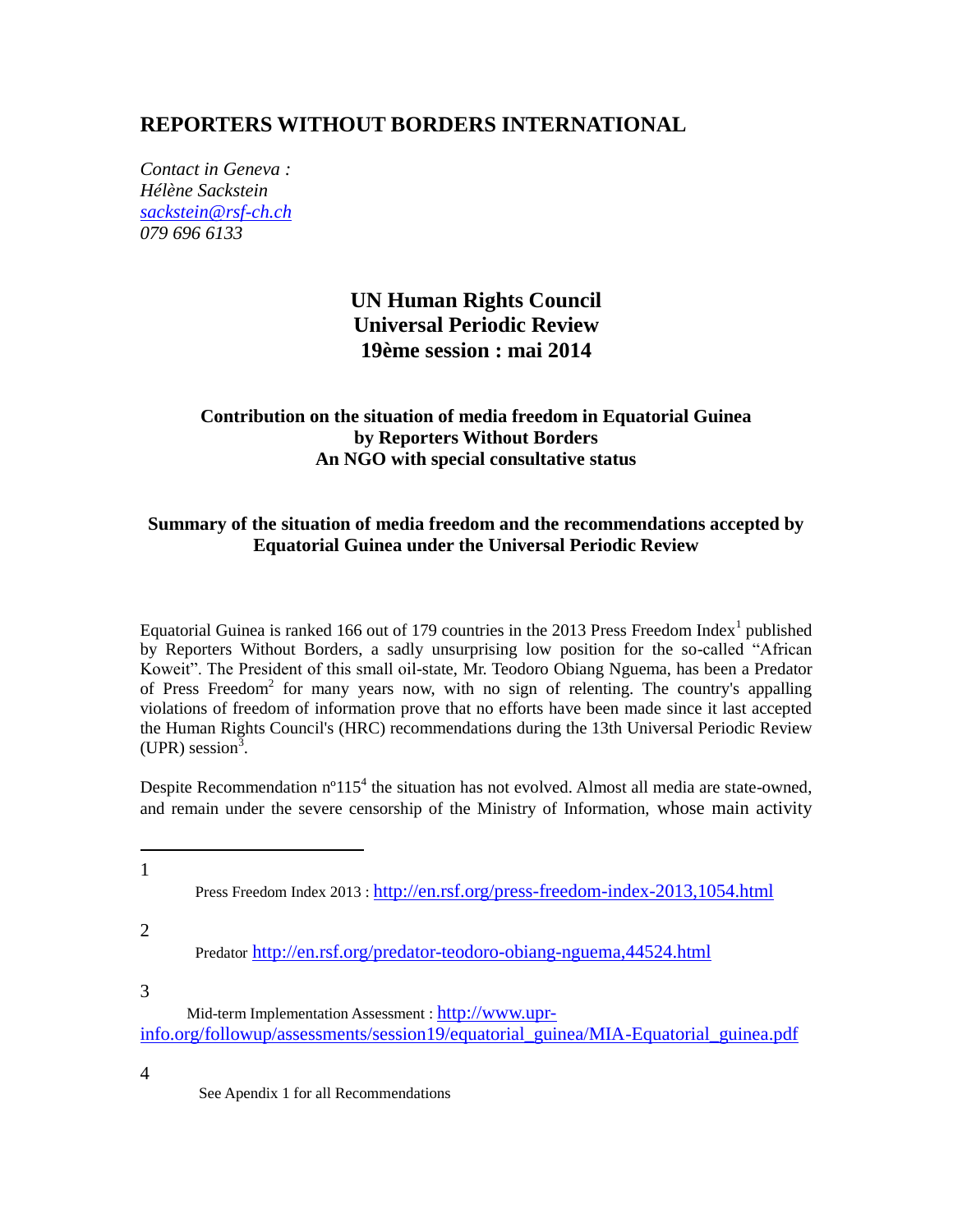## **REPORTERS WITHOUT BORDERS INTERNATIONAL**

*Contact in Geneva : Hélène Sackstein [sackstein@rsf-ch.ch](mailto:sackstein@rsf-ch.ch) 079 696 6133*

# **UN Human Rights Council Universal Periodic Review 19ème session : mai 2014**

## **Contribution on the situation of media freedom in Equatorial Guinea by Reporters Without Borders An NGO with special consultative status**

### **Summary of the situation of media freedom and the recommendations accepted by Equatorial Guinea under the Universal Periodic Review**

Equatorial Guinea is ranked 166 out of 179 countries in the 2013 Press Freedom Index<sup>1</sup> published by Reporters Without Borders, a sadly unsurprising low position for the so-called "African Koweit". The President of this small oil-state, Mr. Teodoro Obiang Nguema, has been a Predator of Press Freedom<sup>2</sup> for many years now, with no sign of relenting. The country's appalling violations of freedom of information prove that no efforts have been made since it last accepted the Human Rights Council's (HRC) recommendations during the 13th Universal Periodic Review (UPR) session<sup>3</sup>.

Despite Recommendation  $n^{\circ}115^4$  the situation has not evolved. Almost all media are state-owned, and remain under the severe censorship of the Ministry of Information, whose main activity

 $\overline{a}$ 1

Press Freedom Index 2013 : <http://en.rsf.org/press-freedom-index-2013,1054.html>

2

Predator <http://en.rsf.org/predator-teodoro-obiang-nguema,44524.html>

3

Mid-term Implementation Assessment : [http://www.upr](http://www.upr-info.org/followup/assessments/session19/equatorial_guinea/MIA-Equatorial_guinea.pdf)[info.org/followup/assessments/session19/equatorial\\_guinea/MIA-Equatorial\\_guinea.pdf](http://www.upr-info.org/followup/assessments/session19/equatorial_guinea/MIA-Equatorial_guinea.pdf)

4

See Apendix 1 for all Recommendations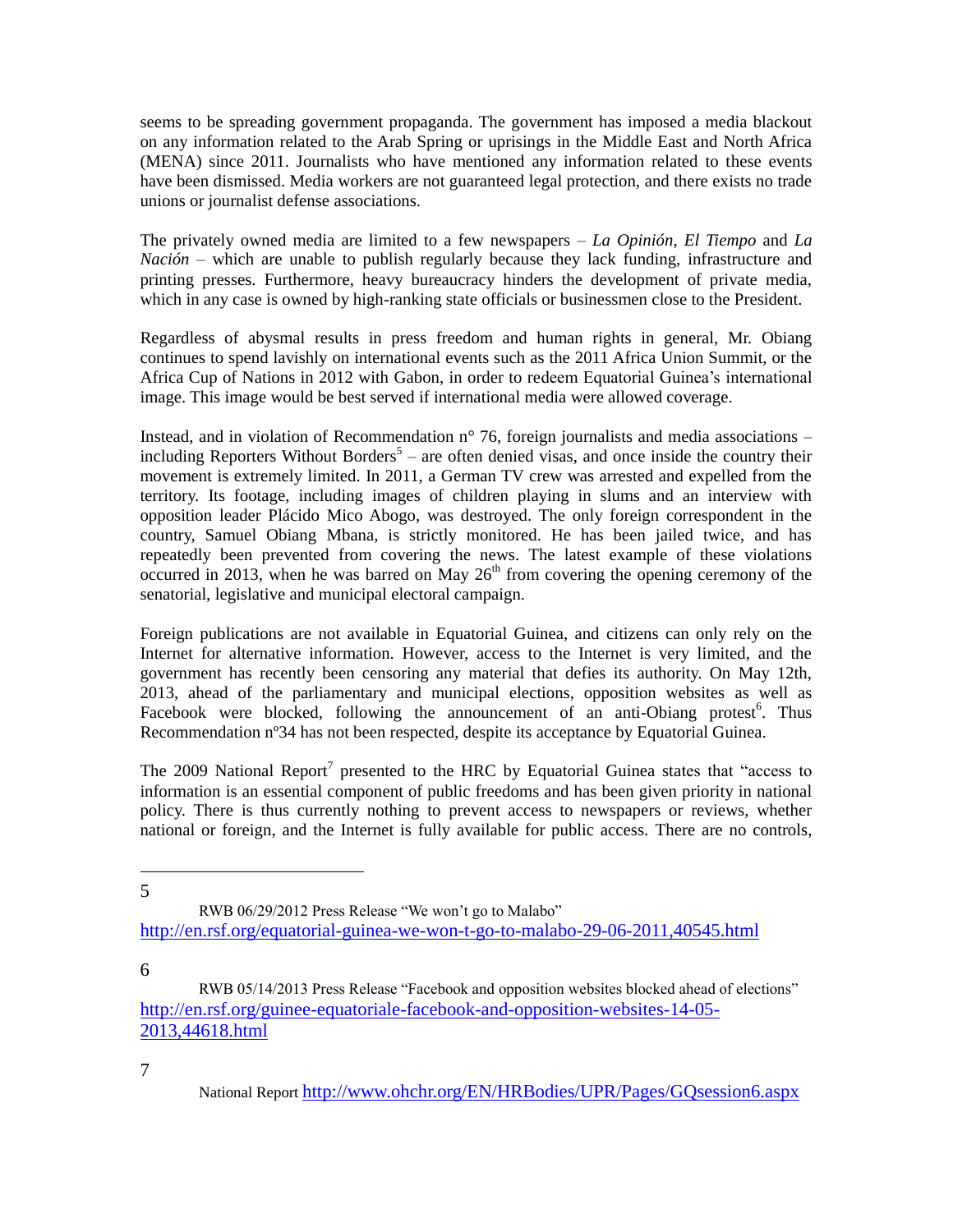seems to be spreading government propaganda. The government has imposed a media blackout on any information related to the Arab Spring or uprisings in the Middle East and North Africa (MENA) since 2011. Journalists who have mentioned any information related to these events have been dismissed. Media workers are not guaranteed legal protection, and there exists no trade unions or journalist defense associations.

The privately owned media are limited to a few newspapers – *La Opinión*, *El Tiempo* and *La Nación* – which are unable to publish regularly because they lack funding, infrastructure and printing presses. Furthermore, heavy bureaucracy hinders the development of private media, which in any case is owned by high-ranking state officials or businessmen close to the President.

Regardless of abysmal results in press freedom and human rights in general, Mr. Obiang continues to spend lavishly on international events such as the 2011 Africa Union Summit, or the Africa Cup of Nations in 2012 with Gabon, in order to redeem Equatorial Guinea's international image. This image would be best served if international media were allowed coverage.

Instead, and in violation of Recommendation n° 76, foreign journalists and media associations – including Reporters Without Borders<sup>5</sup> – are often denied visas, and once inside the country their movement is extremely limited. In 2011, a German TV crew was arrested and expelled from the territory. Its footage, including images of children playing in slums and an interview with opposition leader Plácido Mico Abogo, was destroyed. The only foreign correspondent in the country, Samuel Obiang Mbana, is strictly monitored. He has been jailed twice, and has repeatedly been prevented from covering the news. The latest example of these violations occurred in 2013, when he was barred on May  $26<sup>th</sup>$  from covering the opening ceremony of the senatorial, legislative and municipal electoral campaign.

Foreign publications are not available in Equatorial Guinea, and citizens can only rely on the Internet for alternative information. However, access to the Internet is very limited, and the government has recently been censoring any material that defies its authority. On May 12th, 2013, ahead of the parliamentary and municipal elections, opposition websites as well as Facebook were blocked, following the announcement of an anti-Obiang protest<sup>6</sup>. Thus Recommendation nº34 has not been respected, despite its acceptance by Equatorial Guinea.

The 2009 National Report<sup>7</sup> presented to the HRC by Equatorial Guinea states that "access to information is an essential component of public freedoms and has been given priority in national policy. There is thus currently nothing to prevent access to newspapers or reviews, whether national or foreign, and the Internet is fully available for public access. There are no controls,

 $\overline{a}$ 5

RWB 06/29/2012 Press Release "We won't go to Malabo" <http://en.rsf.org/equatorial-guinea-we-won-t-go-to-malabo-29-06-2011,40545.html>

6

7

RWB 05/14/2013 Press Release "Facebook and opposition websites blocked ahead of elections" [http://en.rsf.org/guinee-equatoriale-facebook-and-opposition-websites-14-05-](http://en.rsf.org/guinee-equatoriale-facebook-and-opposition-websites-14-05-2013,44618.html) [2013,44618.html](http://en.rsf.org/guinee-equatoriale-facebook-and-opposition-websites-14-05-2013,44618.html)

National Report <http://www.ohchr.org/EN/HRBodies/UPR/Pages/GQsession6.aspx>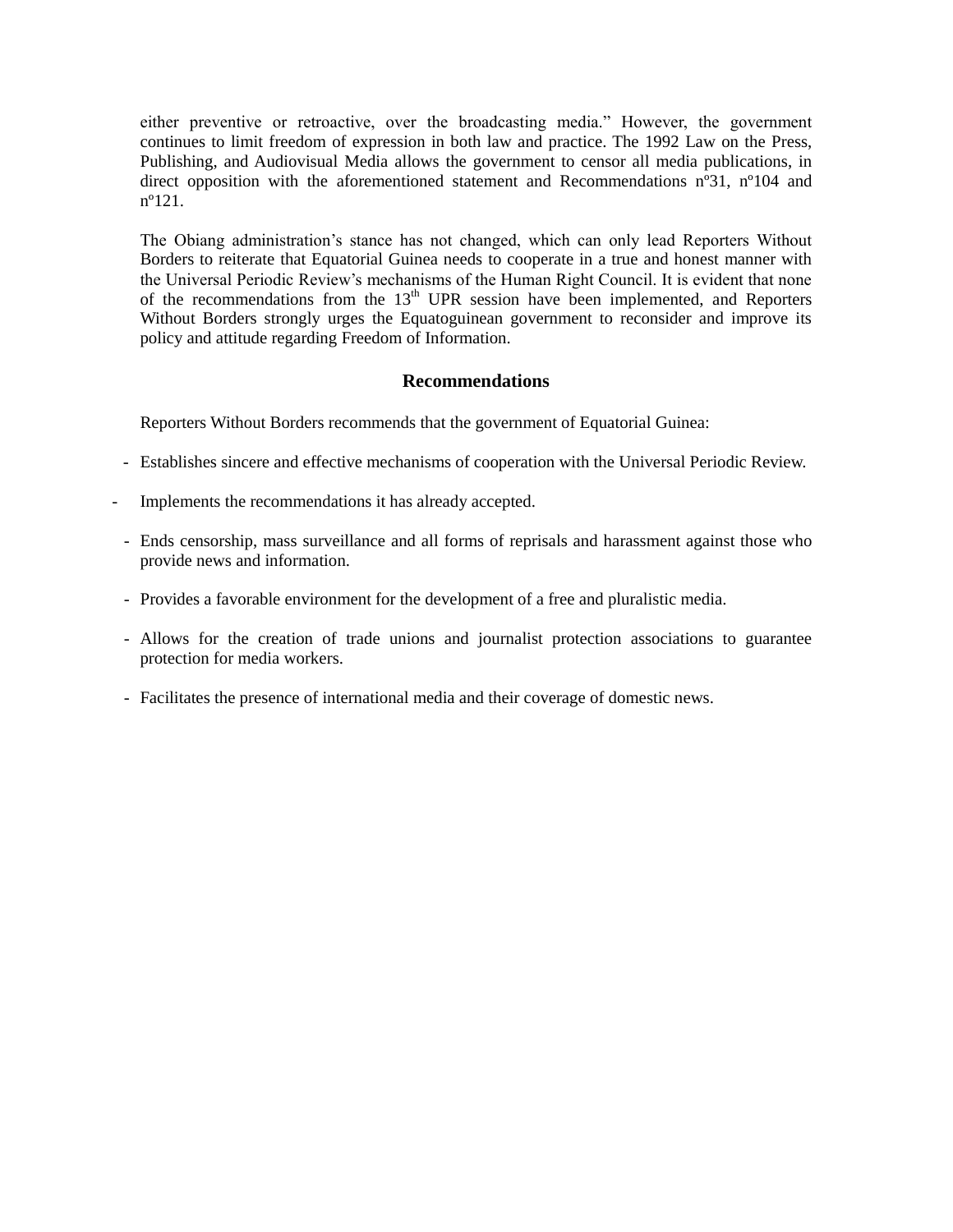either preventive or retroactive, over the broadcasting media." However, the government continues to limit freedom of expression in both law and practice. The 1992 Law on the Press, Publishing, and Audiovisual Media allows the government to censor all media publications, in direct opposition with the aforementioned statement and Recommendations n°31, n°104 and nº121.

The Obiang administration's stance has not changed, which can only lead Reporters Without Borders to reiterate that Equatorial Guinea needs to cooperate in a true and honest manner with the Universal Periodic Review's mechanisms of the Human Right Council. It is evident that none of the recommendations from the  $13<sup>th</sup>$  UPR session have been implemented, and Reporters Without Borders strongly urges the Equatoguinean government to reconsider and improve its policy and attitude regarding Freedom of Information.

#### **Recommendations**

Reporters Without Borders recommends that the government of Equatorial Guinea:

- Establishes sincere and effective mechanisms of cooperation with the Universal Periodic Review.
- Implements the recommendations it has already accepted.
- Ends censorship, mass surveillance and all forms of reprisals and harassment against those who provide news and information.
- Provides a favorable environment for the development of a free and pluralistic media.
- Allows for the creation of trade unions and journalist protection associations to guarantee protection for media workers.
- Facilitates the presence of international media and their coverage of domestic news.